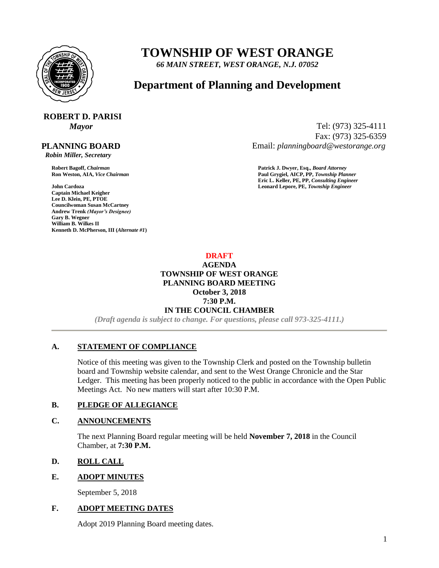

# **TOWNSHIP OF WEST ORANGE**

*66 MAIN STREET, WEST ORANGE, N.J. 07052*

# **Department of Planning and Development**

# **ROBERT D. PARISI**

# **PLANNING BOARD**

 *Robin Miller, Secretary*

**John Cardoza Leonard Lepore, PE,** *Township Engineer* **Captain Michael Keigher Lee D. Klein, PE, PTOE Councilwoman Susan McCartney Andrew Trenk** *(Mayor's Designee)* **Gary B. Wegner William B. Wilkes II Kenneth D. McPherson, III (***Alternate #1***)**

*Mayor* Tel: (973) 325-4111 Fax: (973) 325-6359 Email: *planningboard@westorange.org*

**Robert Bagoff,** *Chairman* **Patrick J. Dwyer, Esq.,** *Board Attorney* **Ron Weston, AIA,** *Vice Chairman* **Paul Grygiel, AICP, PP,** *Township Planner* **Eric L. Keller, PE, PP,** *Consulting Engineer*

> **DRAFT AGENDA TOWNSHIP OF WEST ORANGE PLANNING BOARD MEETING October 3, 2018 7:30 P.M. IN THE COUNCIL CHAMBER**

*(Draft agenda is subject to change. For questions, please call 973-325-4111.)*

# **A. STATEMENT OF COMPLIANCE**

Notice of this meeting was given to the Township Clerk and posted on the Township bulletin board and Township website calendar, and sent to the West Orange Chronicle and the Star Ledger. This meeting has been properly noticed to the public in accordance with the Open Public Meetings Act. No new matters will start after 10:30 P.M.

# **B. PLEDGE OF ALLEGIANCE**

#### **C. ANNOUNCEMENTS**

The next Planning Board regular meeting will be held **November 7, 2018** in the Council Chamber, at **7:30 P.M.**

# **D. ROLL CALL**

#### **E. ADOPT MINUTES**

September 5, 2018

#### **F. ADOPT MEETING DATES**

Adopt 2019 Planning Board meeting dates.